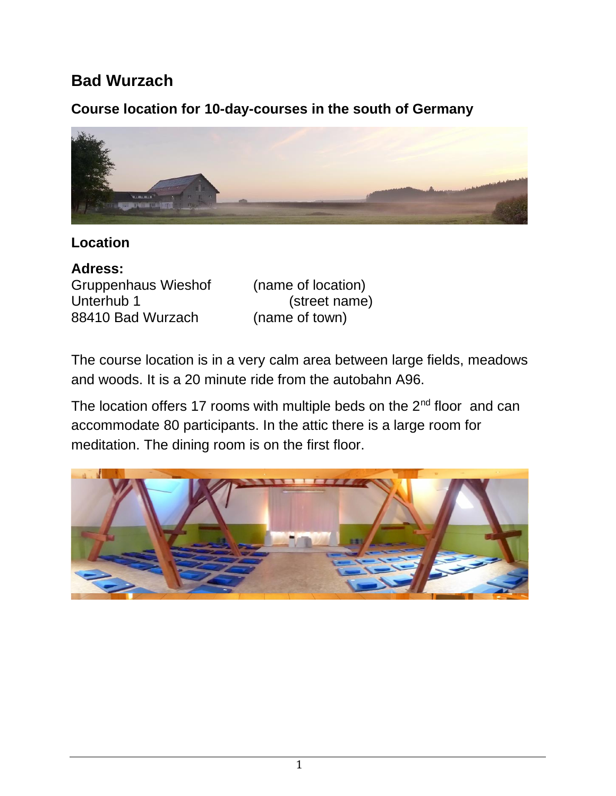# **Bad Wurzach**

# **Course location for 10-day-courses in the south of Germany**



# **Location**

**Adress:** Gruppenhaus Wieshof (name of location) Unterhub 1 (street name) 88410 Bad Wurzach (name of town)

The course location is in a very calm area between large fields, meadows and woods. It is a 20 minute ride from the autobahn A96.

The location offers 17 rooms with multiple beds on the  $2^{nd}$  floor and can accommodate 80 participants. In the attic there is a large room for meditation. The dining room is on the first floor.

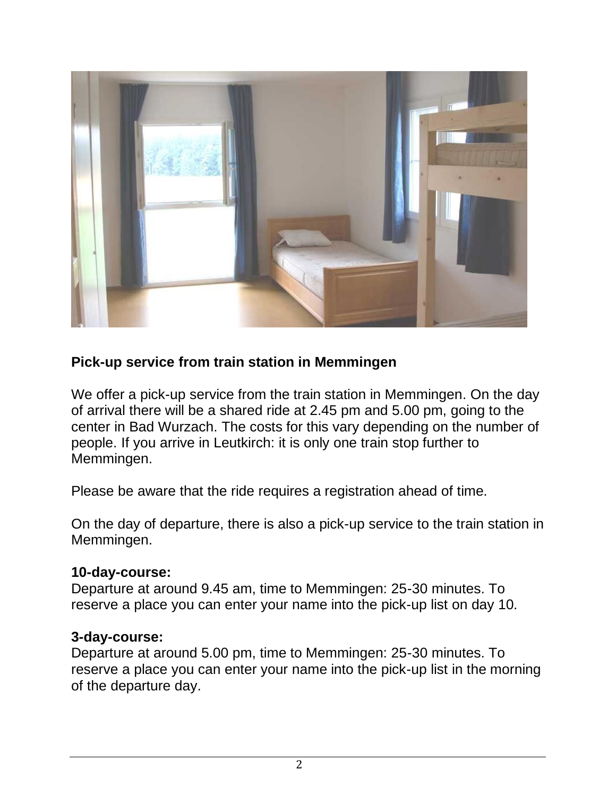

## **Pick-up service from train station in Memmingen**

We offer a pick-up service from the train station in Memmingen. On the day of arrival there will be a shared ride at 2.45 pm and 5.00 pm, going to the center in Bad Wurzach. The costs for this vary depending on the number of people. If you arrive in Leutkirch: it is only one train stop further to Memmingen.

Please be aware that the ride requires a registration ahead of time.

On the day of departure, there is also a pick-up service to the train station in Memmingen.

#### **10-day-course:**

Departure at around 9.45 am, time to Memmingen: 25-30 minutes. To reserve a place you can enter your name into the pick-up list on day 10.

#### **3-day-course:**

Departure at around 5.00 pm, time to Memmingen: 25-30 minutes. To reserve a place you can enter your name into the pick-up list in the morning of the departure day.